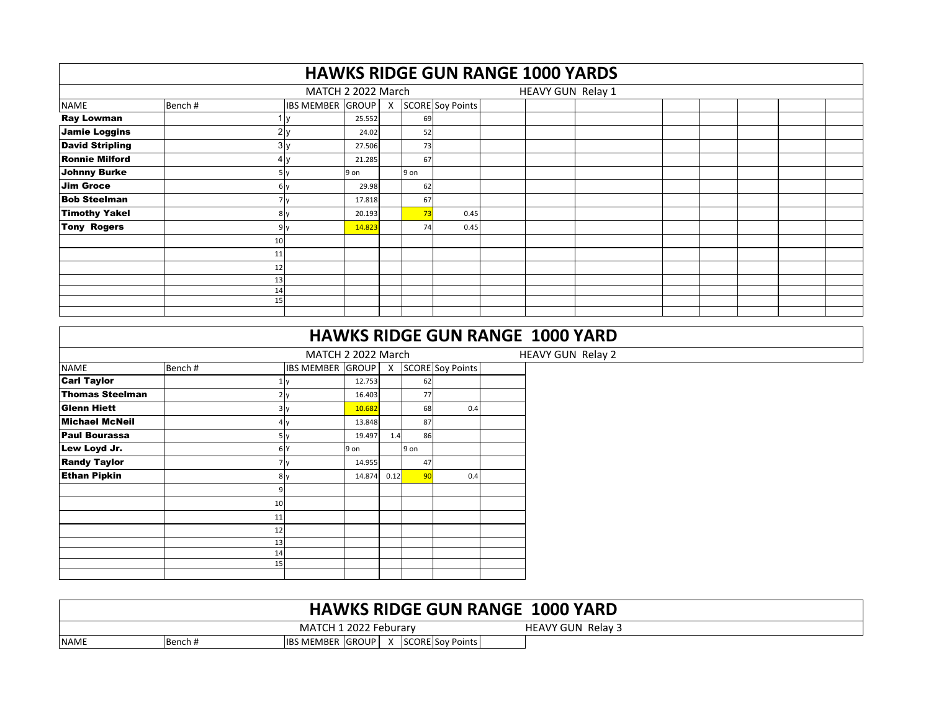|                        |          |                         |        |      |                    | <b>HAWKS RIDGE GUN RANGE 1000 YARDS</b> |  |  |  |
|------------------------|----------|-------------------------|--------|------|--------------------|-----------------------------------------|--|--|--|
|                        |          | MATCH 2 2022 March      |        |      |                    | HEAVY GUN Relay 1                       |  |  |  |
| <b>NAME</b>            | Bench#   | <b>IBS MEMBER GROUP</b> |        |      | X SCORE Soy Points |                                         |  |  |  |
| <b>Ray Lowman</b>      |          |                         | 25.552 | 69   |                    |                                         |  |  |  |
| <b>Jamie Loggins</b>   |          | 2v                      | 24.02  | 52   |                    |                                         |  |  |  |
| <b>David Stripling</b> |          | 3v                      | 27.506 | 73   |                    |                                         |  |  |  |
| <b>Ronnie Milford</b>  |          | 4v                      | 21.285 | 67   |                    |                                         |  |  |  |
| <b>Johnny Burke</b>    |          | 5 v                     | 9 on   | 9 on |                    |                                         |  |  |  |
| <b>Jim Groce</b>       |          | 6 v                     | 29.98  | 62   |                    |                                         |  |  |  |
| <b>Bob Steelman</b>    |          |                         | 17.818 | 67   |                    |                                         |  |  |  |
| <b>Timothy Yakel</b>   |          | 8 <sub>V</sub>          | 20.193 | 73   | 0.45               |                                         |  |  |  |
| <b>Tony Rogers</b>     |          | 9v                      | 14.823 | 74   | 0.45               |                                         |  |  |  |
|                        | 10       |                         |        |      |                    |                                         |  |  |  |
|                        | 11       |                         |        |      |                    |                                         |  |  |  |
|                        | 12       |                         |        |      |                    |                                         |  |  |  |
|                        | 13       |                         |        |      |                    |                                         |  |  |  |
|                        | 14<br>15 |                         |        |      |                    |                                         |  |  |  |
|                        |          |                         |        |      |                    |                                         |  |  |  |

|                        |        |                         |        |      |                 |                         | <b>HAWKS RIDGE GUN RANGE 1000 YARD</b> |
|------------------------|--------|-------------------------|--------|------|-----------------|-------------------------|----------------------------------------|
|                        |        | MATCH 2 2022 March      |        |      |                 |                         | HEAVY GUN Relay 2                      |
| <b>NAME</b>            | Bench# | <b>IBS MEMBER GROUP</b> |        | X    |                 | <b>SCORE</b> Soy Points |                                        |
| <b>Carl Taylor</b>     |        |                         | 12.753 |      | 62              |                         |                                        |
| <b>Thomas Steelman</b> |        |                         | 16.403 |      | 77              |                         |                                        |
| <b>Glenn Hiett</b>     |        | 3v                      | 10.682 |      | 68              | 0.4                     |                                        |
| Michael McNeil         | 4      |                         | 13.848 |      | 87              |                         |                                        |
| <b>Paul Bourassa</b>   |        | 5v                      | 19.497 | 1.4  | 86              |                         |                                        |
| Lew Loyd Jr.           |        | 6 <sup>N</sup>          | 9 on   |      | 9 on            |                         |                                        |
| <b>Randy Taylor</b>    |        |                         | 14.955 |      | 47              |                         |                                        |
| <b>Ethan Pipkin</b>    |        | 8 <sub>v</sub>          | 14.874 | 0.12 | 90 <sub>1</sub> | 0.4                     |                                        |
|                        | 9      |                         |        |      |                 |                         |                                        |
|                        | 10     |                         |        |      |                 |                         |                                        |
|                        | 11     |                         |        |      |                 |                         |                                        |
|                        | 12     |                         |        |      |                 |                         |                                        |
|                        | 13     |                         |        |      |                 |                         |                                        |
|                        | 14     |                         |        |      |                 |                         |                                        |
|                        | 15     |                         |        |      |                 |                         |                                        |
|                        |        |                         |        |      |                 |                         |                                        |

|             |        | <b>HAWKS RIDGE GUN RANGE 1000 YARD</b>             |  |
|-------------|--------|----------------------------------------------------|--|
|             |        | MATCH 1 2022 Feburary<br><b>HEAVY GUN Relay 3</b>  |  |
| <b>NAME</b> | Bench# | <b>SCORE Soy Points</b><br><b>IBS MEMBER GROUP</b> |  |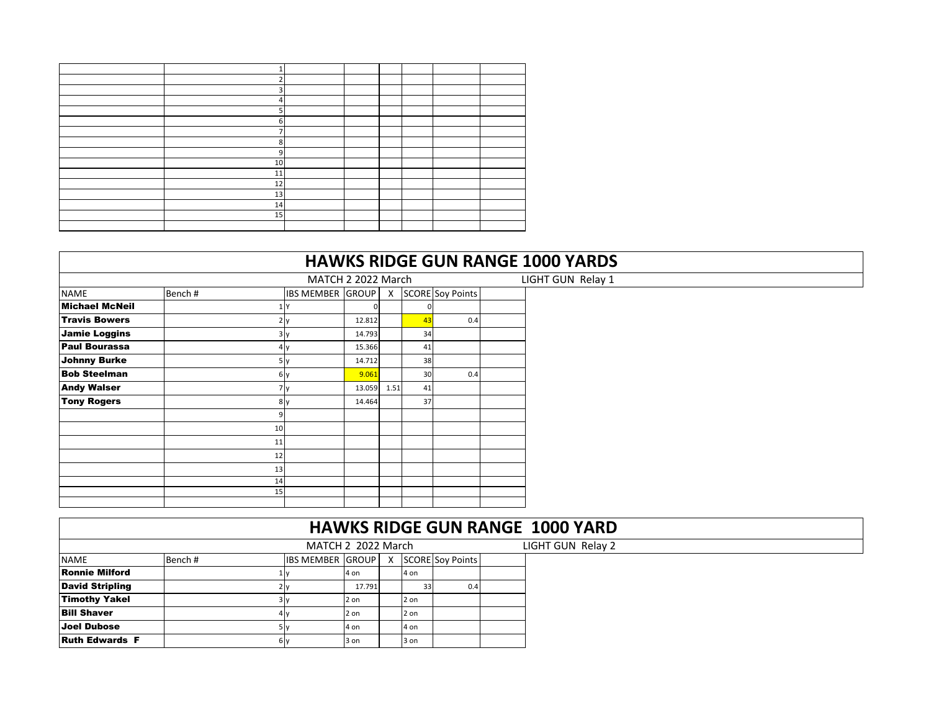| ີ  |  |  |  |
|----|--|--|--|
| 3  |  |  |  |
| 4  |  |  |  |
| 5  |  |  |  |
| 6  |  |  |  |
| ⇁  |  |  |  |
| 8  |  |  |  |
| 9  |  |  |  |
| 10 |  |  |  |
| 11 |  |  |  |
| 12 |  |  |  |
| 13 |  |  |  |
| 14 |  |  |  |
| 15 |  |  |  |
|    |  |  |  |

|                       |        |                         |          |                           |                | <b>HAWKS RIDGE GUN RANGE 1000 YARDS</b> |                   |
|-----------------------|--------|-------------------------|----------|---------------------------|----------------|-----------------------------------------|-------------------|
|                       |        | MATCH 2 2022 March      |          |                           |                |                                         | LIGHT GUN Relay 1 |
| <b>NAME</b>           | Bench# | <b>IBS MEMBER GROUP</b> |          | $\boldsymbol{\mathsf{X}}$ |                | <b>SCORE</b> Soy Points                 |                   |
| <b>Michael McNeil</b> |        |                         | $\Omega$ |                           |                |                                         |                   |
| <b>Travis Bowers</b>  |        |                         | 12.812   |                           | $\overline{A}$ | 0.4                                     |                   |
| <b>Jamie Loggins</b>  |        | 3 I V                   | 14.793   |                           | 34             |                                         |                   |
| <b>Paul Bourassa</b>  |        |                         | 15.366   |                           | 41             |                                         |                   |
| <b>Johnny Burke</b>   |        | אוכ                     | 14.712   |                           | 38             |                                         |                   |
| <b>Bob Steelman</b>   |        | 6 v                     | 9.061    |                           | 30             | 0.4                                     |                   |
| <b>Andy Walser</b>    |        |                         | 13.059   | 1.51                      | 41             |                                         |                   |
| <b>Tony Rogers</b>    |        | 8 <sub>v</sub>          | 14.464   |                           | 37             |                                         |                   |
|                       |        |                         |          |                           |                |                                         |                   |
|                       | 10     |                         |          |                           |                |                                         |                   |
|                       | 11     |                         |          |                           |                |                                         |                   |
|                       | 12     |                         |          |                           |                |                                         |                   |
|                       | 13     |                         |          |                           |                |                                         |                   |
|                       | 14     |                         |          |                           |                |                                         |                   |
|                       | 15     |                         |          |                           |                |                                         |                   |
|                       |        |                         |          |                           |                |                                         |                   |

|                        |        |                         |        |      |                    | <b>HAWKS RIDGE GUN RANGE 1000 YARD</b> |
|------------------------|--------|-------------------------|--------|------|--------------------|----------------------------------------|
|                        |        | MATCH 2 2022 March      |        |      |                    | LIGHT GUN Relay 2                      |
| <b>NAME</b>            | Bench# | <b>IBS MEMBER GROUP</b> |        |      | X SCORE Soy Points |                                        |
| <b>Ronnie Milford</b>  |        |                         | 4 on   | 4 on |                    |                                        |
| <b>David Stripling</b> |        | $2\nu$                  | 17.791 | 33   | 0.4                |                                        |
| <b>Timothy Yakel</b>   |        | 3v                      | 2 on   | 2 on |                    |                                        |
| <b>Bill Shaver</b>     |        | 4 v                     | 2 on   | 2 on |                    |                                        |
| <b>Joel Dubose</b>     |        | 5 I v                   | 4 on   | 4 on |                    |                                        |
| <b>Ruth Edwards F</b>  |        | 6v                      | 3 on   | 3 on |                    |                                        |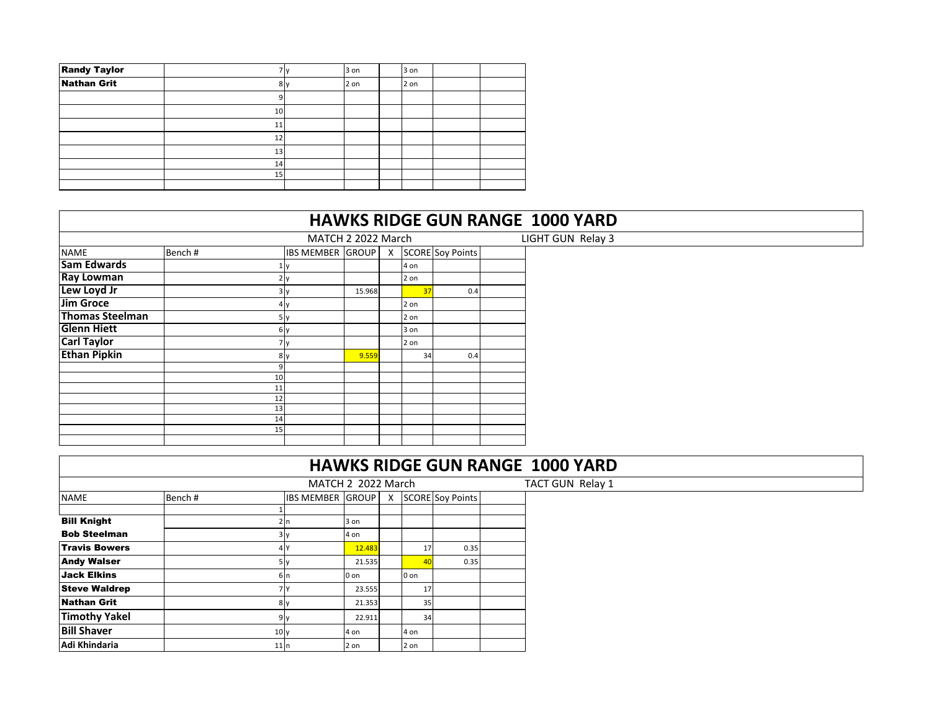| <b>Randy Taylor</b> |    | 3 on | 3 on |  |
|---------------------|----|------|------|--|
| <b>Nathan Grit</b>  | 81 | 2 on | 2 on |  |
|                     |    |      |      |  |
|                     | 10 |      |      |  |
|                     | 11 |      |      |  |
|                     | 12 |      |      |  |
|                     | 13 |      |      |  |
|                     | 14 |      |      |  |
|                     | 15 |      |      |  |
|                     |    |      |      |  |

|                        |        |                |                                       |        |      |     | <b>HAWKS RIDGE GUN RANGE 1000 YARD</b> |
|------------------------|--------|----------------|---------------------------------------|--------|------|-----|----------------------------------------|
|                        |        |                | MATCH 2 2022 March                    |        |      |     | LIGHT GUN Relay 3                      |
| <b>NAME</b>            | Bench# |                | IBS MEMBER GROUP   X SCORE Soy Points |        |      |     |                                        |
| <b>Sam Edwards</b>     |        |                |                                       |        | 4 on |     |                                        |
| <b>Ray Lowman</b>      |        |                |                                       |        | 2 on |     |                                        |
| Lew Loyd Jr            |        | 3 v            |                                       | 15.968 | 37   | 0.4 |                                        |
| <b>Jim Groce</b>       |        | 4 v            |                                       |        | 2 on |     |                                        |
| <b>Thomas Steelman</b> |        |                |                                       |        | 2 on |     |                                        |
| <b>Glenn Hiett</b>     |        | 6 <sub>y</sub> |                                       |        | 3 on |     |                                        |
| <b>Carl Taylor</b>     |        | / V            |                                       |        | 2 on |     |                                        |
| <b>Ethan Pipkin</b>    |        | 8 <sub>V</sub> |                                       | 9.559  | 34   | 0.4 |                                        |
|                        |        | 9              |                                       |        |      |     |                                        |
|                        |        | 10             |                                       |        |      |     |                                        |
|                        |        | 11             |                                       |        |      |     |                                        |
|                        |        | 12<br>13       |                                       |        |      |     |                                        |
|                        |        | 14             |                                       |        |      |     |                                        |
|                        |        | 15             |                                       |        |      |     |                                        |
|                        |        |                |                                       |        |      |     |                                        |

|                      |        |                 | <b>HAWKS RIDGE GUN RANGE 1000 YARD</b> |                 |                         |  |
|----------------------|--------|-----------------|----------------------------------------|-----------------|-------------------------|--|
|                      |        |                 | MATCH 2 2022 March                     |                 |                         |  |
| <b>NAME</b>          | Bench# |                 | <b>IBS MEMBER GROUP X</b>              |                 | <b>SCORE</b> Soy Points |  |
| <b>Bill Knight</b>   |        |                 | 3 on                                   |                 |                         |  |
| <b>Bob Steelman</b>  |        |                 | 4 on                                   |                 |                         |  |
| <b>Travis Bowers</b> |        |                 | 12.483                                 | 17              | 0.35                    |  |
| <b>Andy Walser</b>   |        | 5 I v           | 21.535                                 | 40              | 0.35                    |  |
| Jack Elkins          |        | 6Ir             | 0 on                                   | 0 on            |                         |  |
| <b>Steve Waldrep</b> |        |                 | 23.555                                 | 17 <sub>1</sub> |                         |  |
| <b>Nathan Grit</b>   |        | 8v              | 21.353                                 | 35              |                         |  |
| <b>Timothy Yakel</b> |        | 9               | 22.911                                 | 34              |                         |  |
| <b>Bill Shaver</b>   |        | 10 <sub>y</sub> | 4 on                                   | 4 on            |                         |  |
| Adi Khindaria        |        | 11n             | 2 on                                   | 2 on            |                         |  |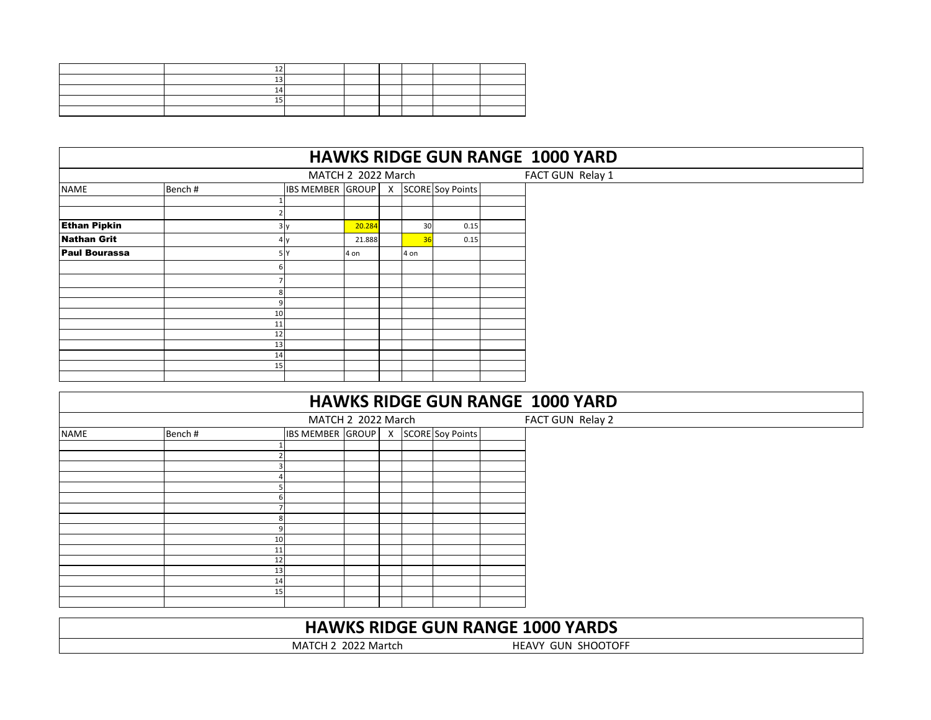| L., |  |  |  |
|-----|--|--|--|
|     |  |  |  |
|     |  |  |  |
|     |  |  |  |

|                      |                                                                  |          |  |        |  |      | <b>HAWKS RIDGE GUN RANGE 1000 YARD</b> |  |  |  |  |  |
|----------------------|------------------------------------------------------------------|----------|--|--------|--|------|----------------------------------------|--|--|--|--|--|
|                      | MATCH 2 2022 March<br><b>IBS MEMBER GROUP</b> X SCORE Soy Points |          |  |        |  |      |                                        |  |  |  |  |  |
| <b>NAME</b>          | Bench#                                                           |          |  |        |  |      |                                        |  |  |  |  |  |
|                      |                                                                  |          |  |        |  |      |                                        |  |  |  |  |  |
| <b>Ethan Pipkin</b>  |                                                                  | 3 v      |  | 20.284 |  | 30   | 0.15                                   |  |  |  |  |  |
| <b>Nathan Grit</b>   |                                                                  | 4 V      |  | 21.888 |  | 36   | 0.15                                   |  |  |  |  |  |
| <b>Paul Bourassa</b> |                                                                  | 5 Y      |  | 4 on   |  | 4 on |                                        |  |  |  |  |  |
|                      |                                                                  |          |  |        |  |      |                                        |  |  |  |  |  |
|                      |                                                                  |          |  |        |  |      |                                        |  |  |  |  |  |
|                      |                                                                  |          |  |        |  |      |                                        |  |  |  |  |  |
|                      |                                                                  | 10       |  |        |  |      |                                        |  |  |  |  |  |
|                      |                                                                  | 11       |  |        |  |      |                                        |  |  |  |  |  |
|                      |                                                                  | 12       |  |        |  |      |                                        |  |  |  |  |  |
|                      |                                                                  | 13<br>14 |  |        |  |      |                                        |  |  |  |  |  |
|                      |                                                                  | 15       |  |        |  |      |                                        |  |  |  |  |  |
|                      |                                                                  |          |  |        |  |      |                                        |  |  |  |  |  |

|             |        |          |                                       |  | <b>HAWKS RIDGE GUN RANGE 1000 YARD</b>  |
|-------------|--------|----------|---------------------------------------|--|-----------------------------------------|
|             |        |          | MATCH 2 2022 March                    |  | FACT GUN Relay 2                        |
| <b>NAME</b> | Bench# |          | IBS MEMBER GROUP   X SCORE Soy Points |  |                                         |
|             |        |          |                                       |  |                                         |
|             |        |          |                                       |  |                                         |
|             |        |          |                                       |  |                                         |
|             |        |          |                                       |  |                                         |
|             |        |          |                                       |  |                                         |
|             |        |          |                                       |  |                                         |
|             |        |          |                                       |  |                                         |
|             |        | 10       |                                       |  |                                         |
|             |        | 11       |                                       |  |                                         |
|             |        | 12<br>13 |                                       |  |                                         |
|             |        | 14       |                                       |  |                                         |
|             |        | 15       |                                       |  |                                         |
|             |        |          |                                       |  |                                         |
|             |        |          |                                       |  | <b>HAWKS RIDGE GUN RANGE 1000 YARDS</b> |

MATCH 2 2022 Martch HEAVY GUN SHOOTOFF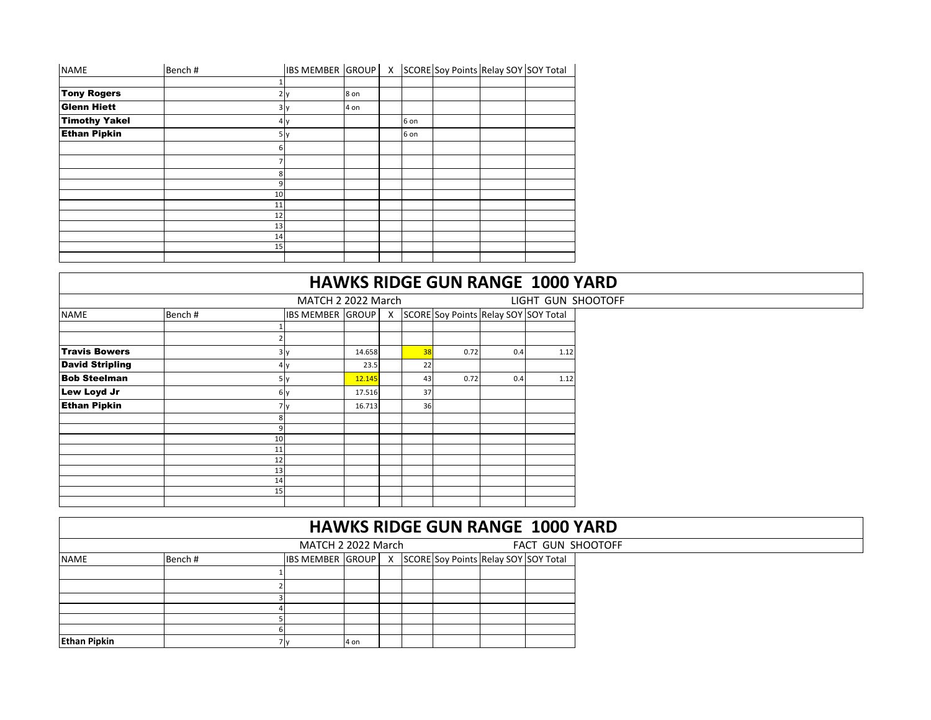| <b>NAME</b>          | Bench# |                | <b>IBS MEMBER GROUP</b> |      | X |      | SCORE Soy Points Relay SOY SOY Total |  |
|----------------------|--------|----------------|-------------------------|------|---|------|--------------------------------------|--|
|                      |        |                |                         |      |   |      |                                      |  |
| <b>Tony Rogers</b>   |        |                | 2 <sub>y</sub>          | 8 on |   |      |                                      |  |
| <b>Glenn Hiett</b>   |        |                | 3y                      | 4 on |   |      |                                      |  |
| <b>Timothy Yakel</b> |        |                | 4y                      |      |   | 6 on |                                      |  |
| <b>Ethan Pipkin</b>  |        |                | 5y                      |      |   | 6 on |                                      |  |
|                      |        | 6              |                         |      |   |      |                                      |  |
|                      |        | 7              |                         |      |   |      |                                      |  |
|                      |        | 8              |                         |      |   |      |                                      |  |
|                      |        | $\overline{9}$ |                         |      |   |      |                                      |  |
|                      |        | 10             |                         |      |   |      |                                      |  |
|                      |        | 11             |                         |      |   |      |                                      |  |
|                      |        | 12             |                         |      |   |      |                                      |  |
|                      |        | 13             |                         |      |   |      |                                      |  |
|                      |        | 14             |                         |      |   |      |                                      |  |
|                      |        | 15             |                         |      |   |      |                                      |  |
|                      |        |                |                         |      |   |      |                                      |  |

|                        |        |          |                         |        |          |    |                                      |     | <b>HAWKS RIDGE GUN RANGE 1000 YARD</b> |                    |
|------------------------|--------|----------|-------------------------|--------|----------|----|--------------------------------------|-----|----------------------------------------|--------------------|
|                        |        |          | MATCH 2 2022 March      |        |          |    |                                      |     |                                        | LIGHT GUN SHOOTOFF |
| <b>NAME</b>            | Bench# |          | <b>IBS MEMBER GROUP</b> |        | $\times$ |    | SCORE Soy Points Relay SOY SOY Total |     |                                        |                    |
|                        |        |          |                         |        |          |    |                                      |     |                                        |                    |
| <b>Travis Bowers</b>   |        |          | 3y                      | 14.658 |          | 38 | 0.72                                 | 0.4 | 1.12                                   |                    |
| <b>David Stripling</b> |        |          | 4y                      | 23.5   |          | 22 |                                      |     |                                        |                    |
| <b>Bob Steelman</b>    |        |          | 5y                      | 12.145 |          | 43 | 0.72                                 | 0.4 | 1.12                                   |                    |
| Lew Loyd Jr            |        | 6y       |                         | 17.516 |          | 37 |                                      |     |                                        |                    |
| <b>Ethan Pipkin</b>    |        | 7v       |                         | 16.713 |          | 36 |                                      |     |                                        |                    |
|                        |        | 8        |                         |        |          |    |                                      |     |                                        |                    |
|                        |        | 9<br>10  |                         |        |          |    |                                      |     |                                        |                    |
|                        |        | 11       |                         |        |          |    |                                      |     |                                        |                    |
|                        |        | 12<br>13 |                         |        |          |    |                                      |     |                                        |                    |
|                        |        | 14       |                         |        |          |    |                                      |     |                                        |                    |
|                        |        | 15       |                         |        |          |    |                                      |     |                                        |                    |
|                        |        |          |                         |        |          |    |                                      |     |                                        |                    |

|                     |        |                         |      |  |  |                                        |  | <b>HAWKS RIDGE GUN RANGE 1000 YARD</b> |  |  |  |
|---------------------|--------|-------------------------|------|--|--|----------------------------------------|--|----------------------------------------|--|--|--|
| MATCH 2 2022 March  |        |                         |      |  |  | FACT GUN SHOOTOFF                      |  |                                        |  |  |  |
| <b>NAME</b>         | Bench# | <b>IBS MEMBER GROUP</b> |      |  |  | X SCORE Soy Points Relay SOY SOY Total |  |                                        |  |  |  |
|                     |        |                         |      |  |  |                                        |  |                                        |  |  |  |
|                     |        |                         |      |  |  |                                        |  |                                        |  |  |  |
|                     |        |                         |      |  |  |                                        |  |                                        |  |  |  |
|                     |        |                         |      |  |  |                                        |  |                                        |  |  |  |
|                     |        |                         |      |  |  |                                        |  |                                        |  |  |  |
|                     |        |                         |      |  |  |                                        |  |                                        |  |  |  |
| <b>Ethan Pipkin</b> |        |                         | 4 on |  |  |                                        |  |                                        |  |  |  |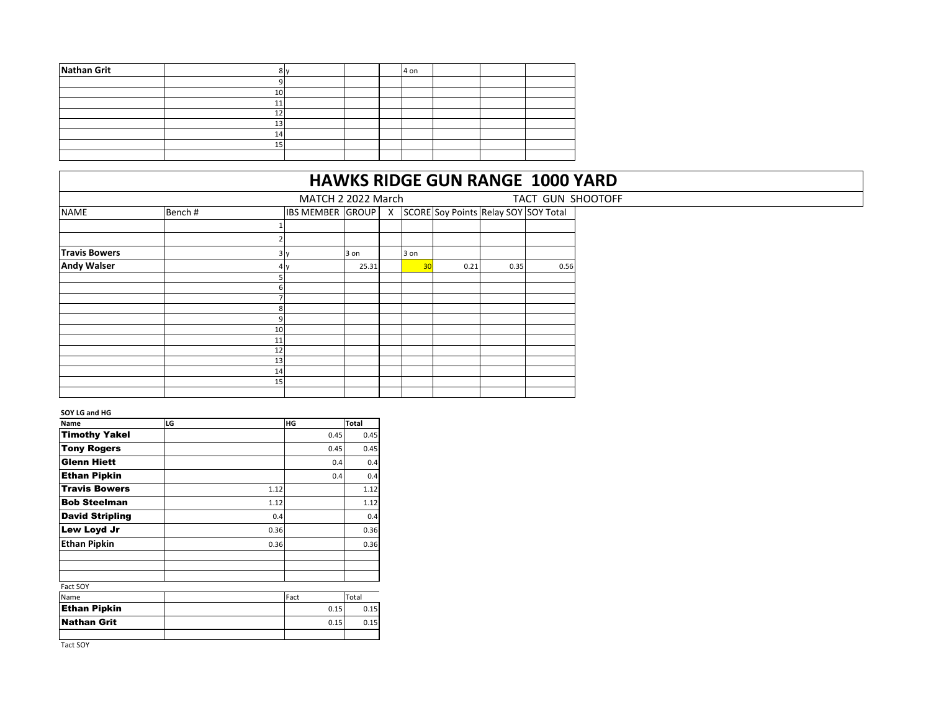| 14 |  |  |      |  |
|----|--|--|------|--|
|    |  |  |      |  |
|    |  |  |      |  |
|    |  |  | 4 on |  |

## **HAWKS RIDGE GUN RANGE 1000 YARD**

| MATCH 2 2022 March<br>TACT GUN SHOOTOFF |        |    |                         |       |              |      |                                      |      |      |  |
|-----------------------------------------|--------|----|-------------------------|-------|--------------|------|--------------------------------------|------|------|--|
| <b>NAME</b>                             | Bench# |    | <b>IBS MEMBER GROUP</b> |       | $\mathsf{x}$ |      | SCORE Soy Points Relay SOY SOY Total |      |      |  |
|                                         |        |    |                         |       |              |      |                                      |      |      |  |
|                                         |        |    |                         |       |              |      |                                      |      |      |  |
| <b>Travis Bowers</b>                    |        |    | 3v                      | 3 on  |              | 3 on |                                      |      |      |  |
| <b>Andy Walser</b>                      |        |    |                         | 25.31 |              | 30   | 0.21                                 | 0.35 | 0.56 |  |
|                                         |        |    |                         |       |              |      |                                      |      |      |  |
|                                         |        |    |                         |       |              |      |                                      |      |      |  |
|                                         |        |    |                         |       |              |      |                                      |      |      |  |
|                                         |        |    |                         |       |              |      |                                      |      |      |  |
|                                         |        |    |                         |       |              |      |                                      |      |      |  |
|                                         |        | 10 |                         |       |              |      |                                      |      |      |  |
|                                         |        | 11 |                         |       |              |      |                                      |      |      |  |
|                                         |        | 12 |                         |       |              |      |                                      |      |      |  |
|                                         |        | 13 |                         |       |              |      |                                      |      |      |  |
|                                         |        | 14 |                         |       |              |      |                                      |      |      |  |
|                                         |        | 15 |                         |       |              |      |                                      |      |      |  |
|                                         |        |    |                         |       |              |      |                                      |      |      |  |

## **SOY LG and HG**

| Name                   | LG |      | HG   | <b>Total</b> |
|------------------------|----|------|------|--------------|
| <b>Timothy Yakel</b>   |    |      | 0.45 | 0.45         |
| <b>Tony Rogers</b>     |    |      | 0.45 | 0.45         |
| Glenn Hiett            |    |      | 0.4  | 0.4          |
| <b>Ethan Pipkin</b>    |    |      | 0.4  | 0.4          |
| <b>Travis Bowers</b>   |    | 1.12 |      | 1.12         |
| <b>Bob Steelman</b>    |    | 1.12 |      | 1.12         |
| <b>David Stripling</b> |    | 0.4  |      | 0.4          |
| Lew Loyd Jr            |    | 0.36 |      | 0.36         |
| <b>Ethan Pipkin</b>    |    | 0.36 |      | 0.36         |
|                        |    |      |      |              |
| Fact SOY               |    |      |      |              |
| Name                   |    |      | Fact | Total        |
| <b>Ethan Pipkin</b>    |    |      | 0.15 | 0.15         |
| <b>Nathan Grit</b>     |    |      | 0.15 | 0.15         |
|                        |    |      |      |              |

Tact SOY